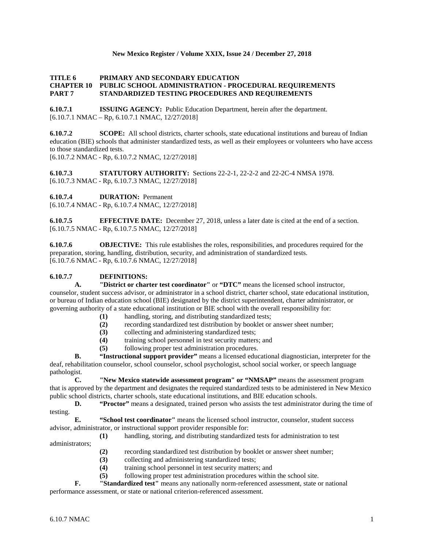#### **New Mexico Register / Volume XXIX, Issue 24 / December 27, 2018**

## **TITLE 6 PRIMARY AND SECONDARY EDUCATION CHAPTER 10 PUBLIC SCHOOL ADMINISTRATION - PROCEDURAL REQUIREMENTS PART 7 STANDARDIZED TESTING PROCEDURES AND REQUIREMENTS**

**6.10.7.1 ISSUING AGENCY:** Public Education Department, herein after the department. [6.10.7.1 NMAC – Rp, 6.10.7.1 NMAC, 12/27/2018]

**6.10.7.2 SCOPE:** All school districts, charter schools, state educational institutions and bureau of Indian education (BIE) schools that administer standardized tests, as well as their employees or volunteers who have access to those standardized tests. [6.10.7.2 NMAC - Rp, 6.10.7.2 NMAC, 12/27/2018]

**6.10.7.3 STATUTORY AUTHORITY:** Sections 22-2-1, 22-2-2 and 22-2C-4 NMSA 1978. [6.10.7.3 NMAC - Rp, 6.10.7.3 NMAC, 12/27/2018]

**6.10.7.4 DURATION:** Permanent

[6.10.7.4 NMAC - Rp, 6.10.7.4 NMAC, 12/27/2018]

**6.10.7.5 EFFECTIVE DATE:** December 27, 2018, unless a later date is cited at the end of a section. [6.10.7.5 NMAC - Rp, 6.10.7.5 NMAC, 12/27/2018]

**6.10.7.6 OBJECTIVE:** This rule establishes the roles, responsibilities, and procedures required for the preparation, storing, handling, distribution, security, and administration of standardized tests. [6.10.7.6 NMAC - Rp, 6.10.7.6 NMAC, 12/27/2018]

## **6.10.7.7 DEFINITIONS:**

**A. "District or charter test coordinator"** or **"DTC"** means the licensed school instructor, counselor, student success advisor, or administrator in a school district, charter school, state educational institution, or bureau of Indian education school (BIE) designated by the district superintendent, charter administrator, or governing authority of a state educational institution or BIE school with the overall responsibility for:

- (1) handling, storing, and distributing standardized tests;<br>(2) recording standardized test distribution by booklet or
- **(2)** recording standardized test distribution by booklet or answer sheet number;
- **(3)** collecting and administering standardized tests;
- **(4)** training school personnel in test security matters; and
- **(5)** following proper test administration procedures.

**B. "Instructional support provider"** means a licensed educational diagnostician, interpreter for the deaf, rehabilitation counselor, school counselor, school psychologist, school social worker, or speech language pathologist.

**C. "New Mexico statewide assessment program" or "NMSAP"** means the assessment program that is approved by the department and designates the required standardized tests to be administered in New Mexico public school districts, charter schools, state educational institutions, and BIE education schools.

**D. "Proctor"** means a designated, trained person who assists the test administrator during the time of testing.

**E. "School test coordinator"** means the licensed school instructor, counselor, student success advisor, administrator, or instructional support provider responsible for:

- **(1)** handling, storing, and distributing standardized tests for administration to test
- administrators;
- **(2)** recording standardized test distribution by booklet or answer sheet number;
- **(3)** collecting and administering standardized tests;
- **(4)** training school personnel in test security matters; and
- **(5)** following proper test administration procedures within the school site.
- **F. "Standardized test"** means any nationally norm-referenced assessment, state or national

performance assessment, or state or national criterion-referenced assessment.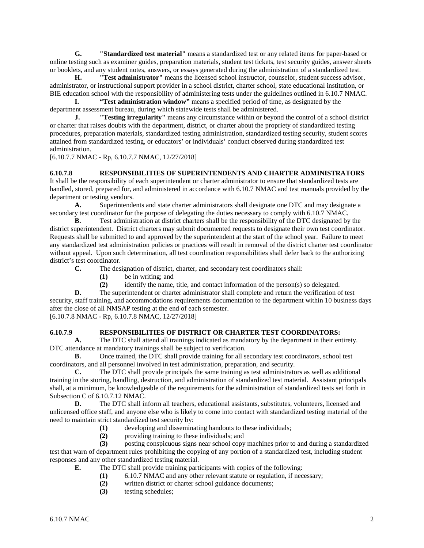**G. "Standardized test material"** means a standardized test or any related items for paper-based or online testing such as examiner guides, preparation materials, student test tickets, test security guides, answer sheets or booklets, and any student notes, answers, or essays generated during the administration of a standardized test.

**H. "Test administrator"** means the licensed school instructor, counselor, student success advisor, administrator, or instructional support provider in a school district, charter school, state educational institution, or BIE education school with the responsibility of administering tests under the guidelines outlined in 6.10.7 NMAC.

**I. "Test administration window"** means a specified period of time, as designated by the department assessment bureau, during which statewide tests shall be administered.

**J. "Testing irregularity"** means any circumstance within or beyond the control of a school district or charter that raises doubts with the department, district, or charter about the propriety of standardized testing procedures, preparation materials, standardized testing administration, standardized testing security, student scores attained from standardized testing, or educators' or individuals' conduct observed during standardized test administration.

[6.10.7.7 NMAC - Rp, 6.10.7.7 NMAC, 12/27/2018]

## **6.10.7.8 RESPONSIBILITIES OF SUPERINTENDENTS AND CHARTER ADMINISTRATORS**

It shall be the responsibility of each superintendent or charter administrator to ensure that standardized tests are handled, stored, prepared for, and administered in accordance with 6.10.7 NMAC and test manuals provided by the department or testing vendors.

**A.** Superintendents and state charter administrators shall designate one DTC and may designate a secondary test coordinator for the purpose of delegating the duties necessary to comply with 6.10.7 NMAC.

**B.** Test administration at district charters shall be the responsibility of the DTC designated by the district superintendent. District charters may submit documented requests to designate their own test coordinator. Requests shall be submitted to and approved by the superintendent at the start of the school year. Failure to meet any standardized test administration policies or practices will result in removal of the district charter test coordinator without appeal. Upon such determination, all test coordination responsibilities shall defer back to the authorizing district's test coordinator.

**C.** The designation of district, charter, and secondary test coordinators shall:

- **(1)** be in writing; and
- **(2)** identify the name, title, and contact information of the person(s) so delegated.

**D.** The superintendent or charter administrator shall complete and return the verification of test security, staff training, and accommodations requirements documentation to the department within 10 business days after the close of all NMSAP testing at the end of each semester. [6.10.7.8 NMAC - Rp, 6.10.7.8 NMAC, 12/27/2018]

## **6.10.7.9 RESPONSIBILITIES OF DISTRICT OR CHARTER TEST COORDINATORS:**

**A.** The DTC shall attend all trainings indicated as mandatory by the department in their entirety. DTC attendance at mandatory trainings shall be subject to verification.

**B.** Once trained, the DTC shall provide training for all secondary test coordinators, school test coordinators, and all personnel involved in test administration, preparation, and security.

**C.** The DTC shall provide principals the same training as test administrators as well as additional training in the storing, handling, destruction, and administration of standardized test material. Assistant principals shall, at a minimum, be knowledgeable of the requirements for the administration of standardized tests set forth in Subsection C of 6.10.7.12 NMAC.

**D.** The DTC shall inform all teachers, educational assistants, substitutes, volunteers, licensed and unlicensed office staff, and anyone else who is likely to come into contact with standardized testing material of the need to maintain strict standardized test security by:

- **(1)** developing and disseminating handouts to these individuals;
- **(2)** providing training to these individuals; and

**(3)** posting conspicuous signs near school copy machines prior to and during a standardized test that warn of department rules prohibiting the copying of any portion of a standardized test, including student responses and any other standardized testing material.

- **E.** The DTC shall provide training participants with copies of the following:
	- (1) 6.10.7 NMAC and any other relevant statute or regulation, if necessary;<br>(2) written district or charter school guidance documents;
	- written district or charter school guidance documents;
	- **(3)** testing schedules;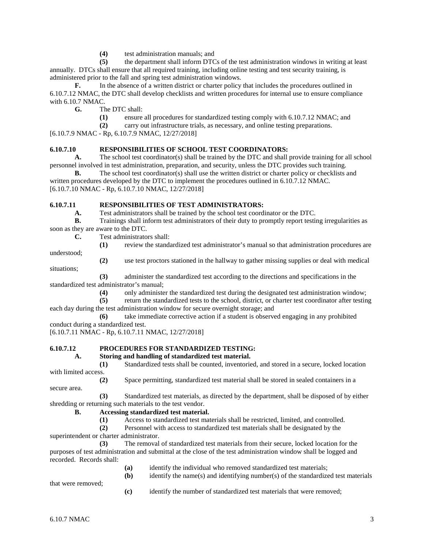(4) test administration manuals; and<br>
(5) the department shall inform DTC

**(5)** the department shall inform DTCs of the test administration windows in writing at least annually. DTCs shall ensure that all required training, including online testing and test security training, is administered prior to the fall and spring test administration windows.

**F.** In the absence of a written district or charter policy that includes the procedures outlined in 6.10.7.12 NMAC, the DTC shall develop checklists and written procedures for internal use to ensure compliance with 6.10.7 NMAC.

**G.** The DTC shall:

**(1)** ensure all procedures for standardized testing comply with 6.10.7.12 NMAC; and

**(2)** carry out infrastructure trials, as necessary, and online testing preparations.

[6.10.7.9 NMAC - Rp, 6.10.7.9 NMAC, 12/27/2018]

# **6.10.7.10 RESPONSIBILITIES OF SCHOOL TEST COORDINATORS:**

**A.** The school test coordinator(s) shall be trained by the DTC and shall provide training for all school personnel involved in test administration, preparation, and security, unless the DTC provides such training.

**B.** The school test coordinator(s) shall use the written district or charter policy or checklists and written procedures developed by the DTC to implement the procedures outlined in 6.10.7.12 NMAC. [6.10.7.10 NMAC - Rp, 6.10.7.10 NMAC, 12/27/2018]

# **6.10.7.11 RESPONSIBILITIES OF TEST ADMINISTRATORS:**

**A.** Test administrators shall be trained by the school test coordinator or the DTC.

**B.** Trainings shall inform test administrators of their duty to promptly report testing irregularities as soon as they are aware to the DTC.

**C.** Test administrators shall:

- **(1)** review the standardized test administrator's manual so that administration procedures are
- **(2)** use test proctors stationed in the hallway to gather missing supplies or deal with medical situations;

**(3)** administer the standardized test according to the directions and specifications in the standardized test administrator's manual;

**(4)** only administer the standardized test during the designated test administration window;

**(5)** return the standardized tests to the school, district, or charter test coordinator after testing each day during the test administration window for secure overnight storage; and

**(6)** take immediate corrective action if a student is observed engaging in any prohibited conduct during a standardized test.

[6.10.7.11 NMAC - Rp, 6.10.7.11 NMAC, 12/27/2018]

# **6.10.7.12 PROCEDURES FOR STANDARDIZED TESTING:**

## **A. Storing and handling of standardized test material.**

**(1)** Standardized tests shall be counted, inventoried, and stored in a secure, locked location with limited access.

**(2)** Space permitting, standardized test material shall be stored in sealed containers in a

**(3)** Standardized test materials, as directed by the department, shall be disposed of by either shredding or returning such materials to the test vendor.

## **B. Accessing standardized test material.**

**(1)** Access to standardized test materials shall be restricted, limited, and controlled.

**(2)** Personnel with access to standardized test materials shall be designated by the superintendent or charter administrator.

**(3)** The removal of standardized test materials from their secure, locked location for the purposes of test administration and submittal at the close of the test administration window shall be logged and recorded. Records shall:

- **(a)** identify the individual who removed standardized test materials;
- **(b)** identify the name(s) and identifying number(s) of the standardized test materials

that were removed;

understood;

secure area.

**(c)** identify the number of standardized test materials that were removed;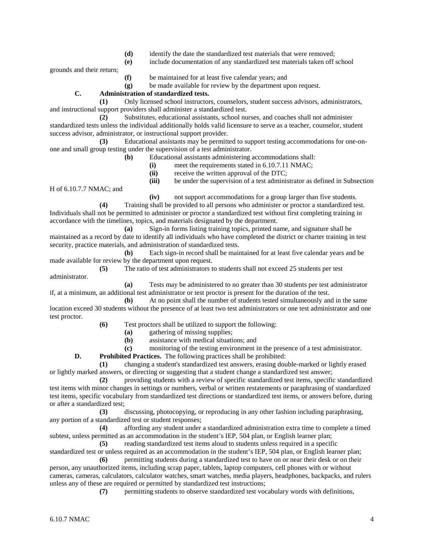- **(d)** identify the date the standardized test materials that were removed;
- **(e)** include documentation of any standardized test materials taken off school

grounds and their return;

- **(f)** be maintained for at least five calendar years; and
- **(g)** be made available for review by the department upon request.

# **C. Administration of standardized tests.**

**(1)** Only licensed school instructors, counselors, student success advisors, administrators, and instructional support providers shall administer a standardized test.

**(2)** Substitutes, educational assistants, school nurses, and coaches shall not administer standardized tests unless the individual additionally holds valid licensure to serve as a teacher, counselor, student success advisor, administrator, or instructional support provider.

**(3)** Educational assistants may be permitted to support testing accommodations for one-onone and small group testing under the supervision of a test administrator.

- **(b)** Educational assistants administering accommodations shall:
	- **(i)** meet the requirements stated in 6.10.7.11 NMAC;
	- **(ii)** receive the written approval of the DTC;

**(iii)** be under the supervision of a test administrator as defined in Subsection

H of 6.10.7.7 NMAC; and

**(iv)** not support accommodations for a group larger than five students.

**(4)** Training shall be provided to all persons who administer or proctor a standardized test. Individuals shall not be permitted to administer or proctor a standardized test without first completing training in accordance with the timelines, topics, and materials designated by the department.

**(a)** Sign-in forms listing training topics, printed name, and signature shall be maintained as a record by date to identify all individuals who have completed the district or charter training in test security, practice materials, and administration of standardized tests.

**(b)** Each sign-in record shall be maintained for at least five calendar years and be made available for review by the department upon request.

**(5)** The ratio of test administrators to students shall not exceed 25 students per test administrator.

**(a)** Tests may be administered to no greater than 30 students per test administrator if, at a minimum, an additional test administrator or test proctor is present for the duration of the test.

**(b)** At no point shall the number of students tested simultaneously and in the same location exceed 30 students without the presence of at least two test administrators or one test administrator and one test proctor.

- **(6)** Test proctors shall be utilized to support the following:
	- **(a)** gathering of missing supplies;
	- **(b)** assistance with medical situations; and
	- **(c)** monitoring of the testing environment in the presence of a test administrator.

**D. Prohibited Practices.** The following practices shall be prohibited:

**(1)** changing a student's standardized test answers, erasing double-marked or lightly erased or lightly marked answers, or directing or suggesting that a student change a standardized test answer;

**(2)** providing students with a review of specific standardized test items, specific standardized test items with minor changes in settings or numbers, verbal or written restatements or paraphrasing of standardized test items, specific vocabulary from standardized test directions or standardized test items, or answers before, during or after a standardized test;

**(3)** discussing, photocopying, or reproducing in any other fashion including paraphrasing, any portion of a standardized test or student responses;

**(4)** affording any student under a standardized administration extra time to complete a timed subtest, unless permitted as an accommodation in the student's IEP, 504 plan, or English learner plan;

**(5)** reading standardized test items aloud to students unless required in a specific standardized test or unless required as an accommodation in the student's IEP, 504 plan, or English learner plan;

**(6)** permitting students during a standardized test to have on or near their desk or on their person, any unauthorized items, including scrap paper, tablets, laptop computers, cell phones with or without cameras, cameras, calculators, calculator watches, smart watches, media players, headphones, backpacks, and rulers unless any of these are required or permitted by standardized test instructions;

**(7)** permitting students to observe standardized test vocabulary words with definitions,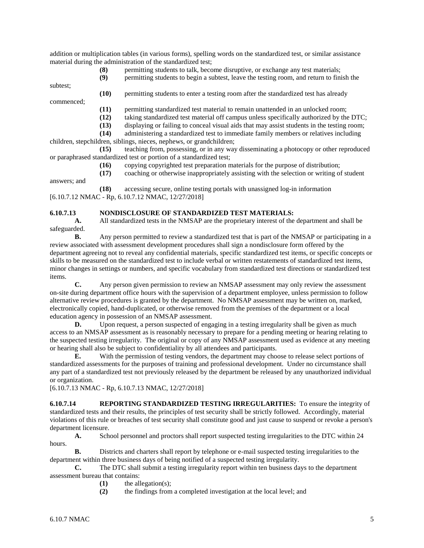addition or multiplication tables (in various forms), spelling words on the standardized test, or similar assistance material during the administration of the standardized test;

**(8)** permitting students to talk, become disruptive, or exchange any test materials;

**(9)** permitting students to begin a subtest, leave the testing room, and return to finish the

subtest;

**(10)** permitting students to enter a testing room after the standardized test has already

commenced;

- **(11)** permitting standardized test material to remain unattended in an unlocked room;
- **(12)** taking standardized test material off campus unless specifically authorized by the DTC;
- (13) displaying or failing to conceal visual aids that may assist students in the testing room;<br>(14) administering a standardized test to immediate family members or relatives including
- **(14)** administering a standardized test to immediate family members or relatives including

children, stepchildren, siblings, nieces, nephews, or grandchildren;

**(15)** teaching from, possessing, or in any way disseminating a photocopy or other reproduced or paraphrased standardized test or portion of a standardized test;

**(16)** copying copyrighted test preparation materials for the purpose of distribution;

**(17)** coaching or otherwise inappropriately assisting with the selection or writing of student

answers; and

**(18)** accessing secure, online testing portals with unassigned log-in information [6.10.7.12 NMAC - Rp, 6.10.7.12 NMAC, 12/27/2018]

# **6.10.7.13 NONDISCLOSURE OF STANDARDIZED TEST MATERIALS:**

**A.** All standardized tests in the NMSAP are the proprietary interest of the department and shall be safeguarded.

**B.** Any person permitted to review a standardized test that is part of the NMSAP or participating in a review associated with assessment development procedures shall sign a nondisclosure form offered by the department agreeing not to reveal any confidential materials, specific standardized test items, or specific concepts or skills to be measured on the standardized test to include verbal or written restatements of standardized test items, minor changes in settings or numbers, and specific vocabulary from standardized test directions or standardized test items.

**C.** Any person given permission to review an NMSAP assessment may only review the assessment on-site during department office hours with the supervision of a department employee, unless permission to follow alternative review procedures is granted by the department. No NMSAP assessment may be written on, marked, electronically copied, hand-duplicated, or otherwise removed from the premises of the department or a local education agency in possession of an NMSAP assessment.<br>D. Upon request, a person suspected of enga

**D.** Upon request, a person suspected of engaging in a testing irregularity shall be given as much access to an NMSAP assessment as is reasonably necessary to prepare for a pending meeting or hearing relating to the suspected testing irregularity. The original or copy of any NMSAP assessment used as evidence at any meeting or hearing shall also be subject to confidentiality by all attendees and participants.

**E.** With the permission of testing vendors, the department may choose to release select portions of standardized assessments for the purposes of training and professional development. Under no circumstance shall any part of a standardized test not previously released by the department be released by any unauthorized individual or organization.

[6.10.7.13 NMAC - Rp, 6.10.7.13 NMAC, 12/27/2018]

**6.10.7.14 REPORTING STANDARDIZED TESTING IRREGULARITIES:** To ensure the integrity of standardized tests and their results, the principles of test security shall be strictly followed. Accordingly, material violations of this rule or breaches of test security shall constitute good and just cause to suspend or revoke a person's department licensure.

**A.** School personnel and proctors shall report suspected testing irregularities to the DTC within 24 hours.

**B.** Districts and charters shall report by telephone or e-mail suspected testing irregularities to the department within three business days of being notified of a suspected testing irregularity.

**C.** The DTC shall submit a testing irregularity report within ten business days to the department assessment bureau that contains:

- **(1)** the allegation(s);
- **(2)** the findings from a completed investigation at the local level; and